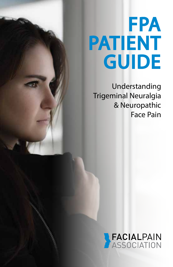# **FPA** PATIENT **GUIDE**

Understanding Trigeminal Neuralgia & Neuropathic Face Pain

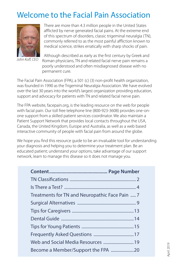# Welcome to the Facial Pain Association



*John Koff, CEO*

There are more than 4.3 million people in the United States afflicted by nerve generated facial pains. At the extreme end of this spectrum of disorders, classic trigeminal neuralgia (TN), commonly referred to as the most painful affliction known to medical science, strikes erratically with sharp shocks of pain.

Although described as early as the first century by Greek and Roman physicians, TN and related facial nerve pain remains a poorly understood and often misdiagnosed disease with no permanent cure.

The Facial Pain Association (FPA), a 501 (c) (3) non-profit health organization, was founded in 1990 as the Trigeminal Neuralgia Association. We have evolved over the last 30 years into the world's largest organization providing education, support and advocacy for patients with TN and related facial nerve pain.

The FPA website, facepain.org, is the leading resource on the web for people with facial pain. Our toll free telephone line (800-923-3608) provides one-onone support from a skilled patient services coordinator. We also maintain a Patient Support Network that provides local contacts throughout the USA, Canada, the United Kingdom, Europe and Australia, as well as a web based interactive community of people with facial pain from around the globe.

We hope you find this resource guide to be an invaluable tool for understanding your diagnosis and helping you to determine your treatment plan. Be an educated patient; understand your options, take advantage of our support network, learn to manage this disease so it does not manage you.

| Treatments for TN and Neuropathic Face Pain  7 |  |
|------------------------------------------------|--|
|                                                |  |
|                                                |  |
|                                                |  |
|                                                |  |
|                                                |  |
|                                                |  |
|                                                |  |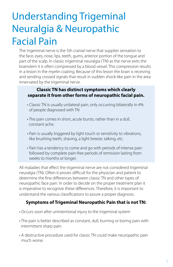# Understanding Trigeminal Neuralgia & Neuropathic Facial Pain

The trigeminal nerve is the 5th cranial nerve that supplies sensation to the face, eyes, nose, lips, teeth, gums, anterior portion of the tongue and part of the scalp. In classic trigeminal neuralgia (TN) as the nerve exits the brainstem it is often compressed by a blood vessel. This compression results in a lesion in the myelin coating. Because of this lesion the brain is receiving and sending crossed signals that result in sudden shock-like pain in the area innervated by the trigeminal nerve.

#### **Classic TN has distinct symptoms which clearly separate it from other forms of neuropathic facial pain.**

- Classic TN is usually unilateral pain, only occurring bilaterally in 4% of people diagnosed with TN
- The pain comes in short, acute bursts, rather than in a dull, constant ache.
- Pain is usually triggered by light touch or sensitivity to vibrations, like brushing teeth, shaving, a light breeze, talking, etc.
- Pain has a tendency to come and go with periods of intense pain followed by complete pain-free periods of remission lasting from weeks to months or longer.

All maladies that effect the trigeminal nerve are not considered trigeminal neuralgia (TN). Often it proves difficult for the physician and patient to determine the fine differences between classic TN and other types of neuropathic face pain. In order to decide on the proper treatment plan it is imperative to recognize these differences. Therefore, it is important to understand the various classifications to assure a proper diagnosis.

### **Symptoms of Trigeminal Neuropathic Pain that is not TN:**

- Occurs soon after unintentional injury to the trigeminal system
- The pain is better described as constant, dull, burning or boring pain with intermittent sharp pain.
- A destructive procedure used for classic TN could make neuropathic pain much worse.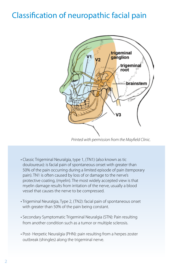# <span id="page-3-0"></span>Classification of neuropathic facial pain



*Printed with permission from the Mayfield Clinic.*

- Classic Trigeminal Neuralgia, type 1, (TN1) (also known as tic douloureux): is facial pain of spontaneous onset with greater than 50% of the pain occurring during a limited episode of pain (temporary pain). TN1 is often caused by loss of or damage to the nerve's protective coating, (myelin). The most widely accepted view is that myelin damage results from irritation of the nerve, usually a blood vessel that causes the nerve to be compressed.
- Trigeminal Neuralgia, Type 2, (TN2): facial pain of spontaneous onset with greater than 50% of the pain being constant.
- Secondary Symptomatic Trigeminal Neuralgia (STN): Pain resulting from another condition such as a tumor or multiple sclerosis.
- Post- Herpetic Neuralgia (PHN): pain resulting from a herpes zoster outbreak (shingles) along the trigeminal nerve.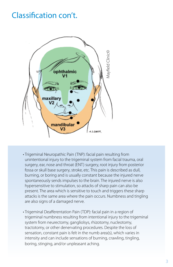# Classification con't.



- Trigeminal Neuropathic Pain (TNP): facial pain resulting from unintentional injury to the trigeminal system from facial trauma, oral surgery, ear, nose and throat (ENT) surgery, root injury from posterior fossa or skull base surgery, stroke, etc. This pain is described as dull, burning, or boring and is usually constant because the injured nerve spontaneously sends impulses to the brain. The injured nerve is also hypersensitive to stimulation, so attacks of sharp pain can also be present. The area which is sensitive to touch and triggers these sharp attacks is the same area where the pain occurs. Numbness and tingling are also signs of a damaged nerve.
- Trigeminal Deafferentation Pain (TDP): facial pain in a region of trigeminal numbness resulting from intentional injury to the trigeminal system from neurectomy, gangliolsys, rhizotomy, nucleotomy, tractotomy, or other denervating procedures. Despite the loss of sensation, constant pain is felt in the numb area(s), which varies in intensity and can include sensations of burning, crawling, tingling, boring, stinging, and/or unpleasant aching.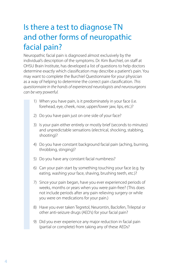# <span id="page-5-0"></span>Is there a test to diagnose TN and other forms of neuropathic facial pain?

Neuropathic facial pain is diagnosed almost exclusively by the individual's description of the symptoms. Dr. Kim Burchiel, on staff at OHSU Brain Institute, has developed a list of questions to help doctors determine exactly which classification may describe a patient's pain. You may want to complete the Burchiel Questionnaire for your physician as a way of helping to determine the correct pain classification. *This questionnaire in the hands of experienced neurologists and neurosurgeons can be very powerful.* 

- 1) When you have pain, is it predominately in your face (i.e. forehead, eye, cheek, nose, upper/lower jaw, lips, etc.)?
- 2) Do you have pain just on one side of your face?
- 3) Is your pain either entirely or mostly brief (seconds to minutes) and unpredictable sensations (electrical, shocking, stabbing, shooting)?
- 4) Do you have constant background facial pain (aching, burning, throbbing, stinging)?
- 5) Do you have any constant facial numbness?
- 6) Can your pain start by something touching your face (e.g. by eating, washing your face, shaving, brushing teeth, etc.)?
- 7) Since your pain began, have you ever experienced periods of weeks, months or years when you were pain-free? (This does not include periods after any pain relieving surgery or while you were on medications for your pain.)
- 8) Have you ever taken Tegretol, Neurontin, Baclofen, Trileptal or other anti-seizure drugs (AED's) for your facial pain?
- 9) Did you ever experience any major reduction in facial pain (partial or complete) from taking any of these AEDs?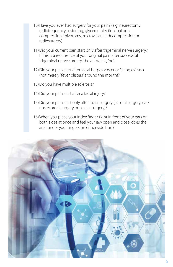- 10) Have you ever had surgery for your pain? (e.g. neurectomy, radiofrequency, lesioning, glycerol injection, balloon compression, rhizotomy, microvascular decompression or radiosurgery)
- 11) Did your current pain start only after trigeminal nerve surgery? If this is a recurrence of your original pain after successful trigeminal nerve surgery, the answer is, "no".
- 12) Did your pain start after facial herpes zoster or "shingles" rash (not merely "fever blisters" around the mouth)?
- 13)Do you have multiple sclerosis?
- 14)Did your pain start after a facial injury?
- 15) Did your pain start only after facial surgery (i.e. oral surgery, ear/ nose/throat surgery or plastic surgery)?
- 16) When you place your index finger right in front of your ears on both sides at once and feel your jaw open and close, does the area under your fingers on either side hurt?

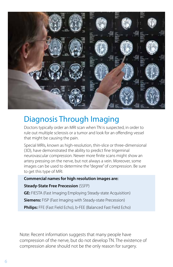

# Diagnosis Through Imaging

Doctors typically order an MRI scan when TN is suspected, in order to rule out multiple sclerosis or a tumor and look for an offending vessel that might be causing the pain.

Special MRIs, known as high-resolution, thin-slice or three-dimensional (3D), have demonstrated the ability to predict fine trigeminal neurovascular compression. Newer more finite scans might show an artery pressing on the nerve, but not always a vein. Moreover, some images can be used to determine the "degree" of compression. Be sure to get this type of MRI.

#### **Commercial names for high resolution images are:**

#### **Steady-State Free Precession** (SSFP)

**GE:** FIESTA (Fast Imaging Employing Steady-state Acquisition)

**Siemens:** FISP (Fast Imaging with Steady-state Precession)

**Philips:** FFE (Fast Field Echo), b-FEE (Balanced Fast Field Echo)

Note: Recent information suggests that many people have compression of the nerve, but do not develop TN. The existence of compression alone should not be the only reason for surgery.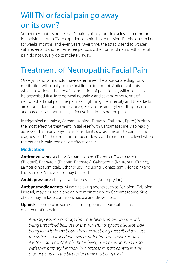# <span id="page-8-0"></span>Will TN or facial pain go away on its own?

Sometimes, but it's not likely. TN pain typically runs in cycles, it is common for individuals with TN to experience periods of remission. Remission can last for weeks, months, and even years. Over time, the attacks tend to worsen with fewer and shorter pain-free periods. Other forms of neuropathic facial pain do not usually go completely away.

# Treatment of Neuropathic Facial Pain

Once you and your doctor have determined the appropriate diagnosis, medication will usually be the first line of treatment. Anticonvulsants, which slow down the nerve's conduction of pain signals, will most likely be prescribed first. In trigeminal neuralgia and several other forms of neuropathic facial pain, the pain is of lightning like intensity and the attacks are of brief duration, therefore analgesics, i.e. aspirin, Tylenol, Ibuprofen, etc. and narcotics are not usually effective in addressing the pain.

In trigeminal neuralgia, Carbamazepine (Tegretol, Carbatrol, Epitol) is often the most effective treatment. Initial relief with Carbamazepine is so readily achieved that many physicians consider its use as a means to confirm the diagnosis of TN. The drug is introduced slowly and increased to a level where the patient is pain-free or side effects occur.

### **Medication**

**Anticonvulsants** such as: Carbamazepine (Tegretol), Oxcarbazepine (Trileptal), Phenytoin (Dilantin, Phenytek), Gabapentin (Neurontin, Gralise), Lamotrigine (Lamictal). Other drugs, including Clonazepam (Klonopin) and Lacosamide (Vimpat) also may be used.

**Antidepressants:** Tricyclic antidepressants: (Amitriptyline)

**Antispasmodic agents**: Muscle-relaxing agents such as Baclofen (Gablofen, Lioresal) may be used alone or in combination with Carbamazepine. Side effects may include confusion, nausea and drowsiness.

**Opioids** are helpful in some cases of trigeminal neuropathic and deafferentation pain.

*Anti-depressants or drugs that may help stop seizures are only being prescribed because of the way that they can also stop pain being felt within the body. They are not being prescribed because the patient is either depressed or potentially will have seizures, it is their pain control role that is being used here, nothing to do with their primary function. In a sense their pain control is a 'by product' and it is the by product which is being used.*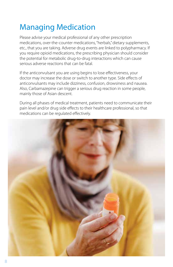# Managing Medication

Please advise your medical professional of any other prescription medications, over-the-counter medications, "herbals," dietary supplements, etc., that you are taking. Adverse drug events are linked to polypharmacy. If you require opioid medications, the prescribing physician should consider the potential for metabolic drug-to-drug interactions which can cause serious adverse reactions that can be fatal.

If the anticonvulsant you are using begins to lose effectiveness, your doctor may increase the dose or switch to another type. Side effects of anticonvulsants may include dizziness, confusion, drowsiness and nausea. Also, Carbamazepine can trigger a serious drug reaction in some people, mainly those of Asian descent.

During all phases of medical treatment, patients need to communicate their pain level and/or drug side effects to their healthcare professional, so that medications can be regulated effectively.

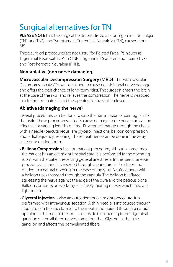# <span id="page-10-0"></span>Surgical alternatives for TN

**PLEASE NOTE** that the surgical treatments listed are for Trigeminal Neuralgia (TN1 and TN2) and Symptomatic Trigeminal Neuralgia (STN), caused from MS.

These surgical procedures are not useful for Related Facial Pain such as: Trigeminal Neuropathic Pain (TNP), Trigeminal Deafferentation pain (TDP) and Post-herpetic Neuralgia (PHN).

### **Non-ablative (non nerve damaging)**

**Microvascular Decompression Surgery (MVD)**: The Microvascular Decompression (MVD), was designed to cause no additional nerve damage and offers the best chance of long-term relief. The surgeon enters the brain at the base of the skull and relieves the compression. The nerve is wrapped in a Teflon-like material and the opening to the skull is closed.

### **Ablative (damaging the nerve)**

Several procedures can be done to stop the transmission of pain signals to the brain. These procedures actually cause damage to the nerve and can be effective for varying lengths of time. Procedures that go through the cheek with a needle (percutaneous) are glycerol injections, balloon compression, and radiofrequency lesioning. These treatments can be done in the X-ray suite or operating room.

- **Balloon Compression** is an outpatient procedure, although sometimes the patient has an overnight hospital stay. It is performed in the operating room, with the patient receiving general anesthesia. In this percutaneous procedure, a cannula is inserted through a puncture in the cheek and guided to a natural opening in the base of the skull. A soft catheter with a balloon tip is threaded through the cannula. The balloon is inflated, squeezing the nerve against the edge of the dura and the petrous bone. Balloon compression works by selectively injuring nerves which mediate light touch.
- **Glycerol Injection** is also an outpatient or overnight procedure. It is performed with intravenous sedation. A thin needle is introduced through a puncture in the cheek, next to the mouth and guided through a natural opening in the base of the skull. Just inside this opening is the trigeminal ganglion where all three nerves come together. Glycerol bathes the ganglion and affects the demyelinated fibers.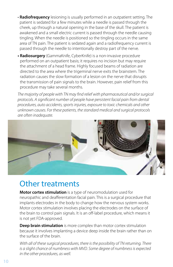- **Radiofrequency** lesioning is usually performed in an outpatient setting. The patient is sedated for a few minutes while a needle is passed through the cheek, up through a natural opening in the base of the skull. The patient is awakened and a small electric current is passed through the needle causing tingling. When the needle is positioned so the tingling occurs in the same area of TN pain. The patient is sedated again and a radiofrequency current is passed through the needle to intentionally destroy part of the nerve.
- **Radiosurgery** (GammaKnife, CyberKnife) is a non-invasive procedure performed on an outpatient basis; it requires no incision but may require the attachment of a head frame. Highly focused beams of radiation are directed to the area where the trigeminal nerve exits the brainstem. The radiation causes the slow formation of a lesion on the nerve that disrupts the transmission of pain signals to the brain. However, pain relief from this procedure may take several months.

*The majority of people with TN may find relief with pharmaceutical and/or surgical protocols. A significant number of people have persistent facial pain from dental procedures, auto accidents, sports injuries, exposure to toxic chemicals and other unknown causes. For these patients, the standard medical and surgical protocols are often inadequate.*



### Other treatments

**Motor cortex stimulation** is a type of neuromodulation used for neuropathic and deafferentation facial pain. This is a surgical procedure that implants electrodes in the body to change how the nervous system works. Motor cortex stimulation involves placing the electrodes on the surface of the brain to control pain signals. It is an off-label procedure, which means it is not yet FDA-approved.

**Deep brain stimulation** is more complex than motor cortex stimulation because it involves implanting a device deep inside the brain rather than on the surface of the brain.

*With all of these surgical procedures, there is the possibility of TN returning. There is a slight chance of numbness with MVD. Some degree of numbness is expected in the other procedures, as well.*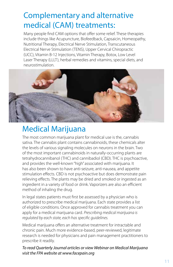# Complementary and alternative medical (CAM) treatments:

Many people find CAM options that offer some relief. These therapies include things like Acupuncture, Biofeedback, Capsaicin, Homeopathy, Nutritional Therapy, Electrical Nerve Stimulation, Transcutaneous Electrical Nerve Stimulation (TENS), Upper Cervical Chiropractic (UCC), Vitamin B-12 Injections, Vitamin Therapy, Botox, Low Level Laser Therapy (LLLT), herbal remedies and vitamins, special diets, and neurostimulation.



# Medical Marijuana

The most common marijuana plant for medical use is the, cannabis sativa. The cannabis plant contains cannabinoids, these chemicals alter the levels of various signaling molecules on neurons in the brain. Two of the most important cannabinoids in naturally-occurring plants are tetrahydrocannibanol (THC) and cannibadiol (CBD). THC is psychoactive, and provides the well-known "high" associated with marijuana. It has also been shown to have anti-seizure, anti-nausea, and appetite stimulation effects. CBD is not psychoactive but does demonstrate pain relieving effects. The plants may be dried and smoked or ingested as an ingredient in a variety of food or drink. Vaporizers are also an efficient method of inhaling the drug.

In legal states patients must first be assessed by a physician who is authorized to prescribe medical marijuana. Each state provides a list of eligible conditions. Once approved for cannabis treatment you can apply for a medical marijuana card. *Prescribing medical marijuana is regulated by each state, each has specific guidelines.*

Medical marijuana offers an alternative treatment for intractable and chronic pain. Much more evidence-based, peer-reviewed, legitimate research is needed for physicians and pain management practitioners to prescribe it readily.

*To read Quarterly Journal articles or view Webinar on Medical Marijuana visit the FPA website at www.facepain.org*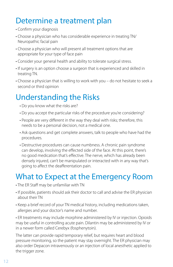# Determine a treatment plan

- Confirm your diagnosis
- Choose a physician who has considerable experience in treating TN/ Neuropathic facial pain
- Choose a physician who will present all treatment options that are appropriate for your type of face pain
- Consider your general health and ability to tolerate surgical stress.
- If surgery is an option choose a surgeon that is experienced and skilled in treating TN.
- Choose a physician that is willing to work with you do not hesitate to seek a second or third opinion

# Understanding the Risks

- Do you know what the risks are?
- Do you accept the particular risks of the procedure you're considering?
- People are very different in the way they deal with risks; therefore, this needs to be a personal decision, not a medical one.
- Ask questions and get complete answers, talk to people who have had the procedures.
- Destructive procedures can cause numbness. A chronic pain syndrome can develop, involving the effected side of the face. At this point, there's no good medication that's effective. The nerve, which has already been densely injured, can't be manipulated or interacted with in any way that's going to affect the deafferentation pain.

# What to Expect at the Emergency Room

- The ER Staff may be unfamiliar with TN
- If possible, patients should ask their doctor to call and advise the ER physician about their TN
- Keep a brief record of your TN medical history, including medications taken, allergies and your doctor's name and number.

• ER treatments may include morphine administered by IV or injection. Opioids may be useful in controlling acute pain. Dilantin may be administered by IV or in a newer form called Cerebyx (fosphenytoin).

The latter can provide rapid temporary relief, but requires heart and blood pressure monitoring, so the patient may stay overnight. The ER physician may also order Depacon intravenously or an injection of local anesthetic applied to the trigger zone.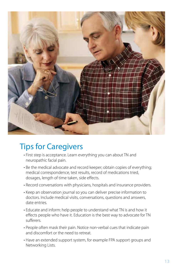<span id="page-14-0"></span>

# Tips for Caregivers

- First step is acceptance. Learn everything you can about TN and neuropathic facial pain.
- Be the medical advocate and record keeper; obtain copies of everything; medical correspondence, test results, record of medications tried, dosages, length of time taken, side effects.
- Record conversations with physicians, hospitals and insurance providers.
- Keep an observation journal so you can deliver precise information to doctors. Include medical visits, conversations, questions and answers, date entries.
- Educate and inform: help people to understand what TN is and how it effects people who have it. Education is the best way to advocate for TN sufferers.
- People often mask their pain. Notice non-verbal cues that indicate pain and discomfort or the need to retreat.
- Have an extended support system, for example FPA support groups and Networking Lists.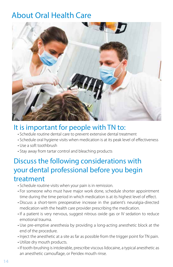# <span id="page-15-0"></span>About Oral Health Care



### It is important for people with TN to:

- Schedule routine dental care to prevent extensive dental treatment
- Schedule oral hygiene visits when medication is at its peak level of effectiveness
- Use a soft toothbrush
- Stay away from tartar control and bleaching products

### Discuss the following considerations with your dental professional before you begin treatment

- Schedule routine visits when your pain is in remission.
- For someone who must have major work done, schedule shorter appointment time during the time period in which medication is at its highest level of effect.
- Discuss a short-term preoperative increase in the patient's neuralgia-directed medication with the health care provider prescribing the medication.
- If a patient is very nervous, suggest nitrous oxide gas or IV sedation to reduce emotional trauma.
- Use pre-emptive anesthesia by providing a long-acting anesthetic block at the end of the procedure.
- Inject the anesthetic at a site as far as possible from the trigger point for TN pain.
- Utilize dry mouth products.
- If tooth-brushing is intolerable, prescribe viscous lidocaine, a typical anesthetic as an anesthetic camouflage, or Peridex mouth rinse.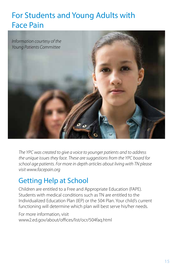# <span id="page-16-0"></span>For Students and Young Adults with Face Pain



*The YPC was created to give a voice to younger patients and to address the unique issues they face. These are suggestions from the YPC board for school age patients. For more in depth articles about living with TN please visit www.facepain.org*

### Getting Help at School

Children are entitled to a Free and Appropriate Education (FAPE). Students with medical conditions such as TN are entitled to the Individualized Education Plan (IEP) or the 504 Plan. Your child's current functioning will determine which plan will best serve his/her needs.

For more information, visit www2.ed.gov/about/offices/list/ocr/504faq.html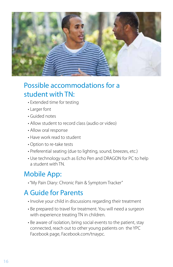

### Possible accommodations for a student with TN:

- Extended time for testing
- Larger font
- Guided notes
- Allow student to record class (audio or video)
- Allow oral response
- Have work read to student
- Option to re-take tests
- Preferential seating (due to lighting, sound, breezes, etc.)
- Use technology such as Echo Pen and DRAGON for PC to help a student with TN.

### Mobile App:

• "My Pain Diary: Chronic Pain & Symptom Tracker"

### A Guide for Parents

- Involve your child in discussions regarding their treatment
- Be prepared to travel for treatment. You will need a surgeon with experience treating TN in children.
- Be aware of isolation, bring social events to the patient, stay connected, reach out to other young patients on the YPC Facebook page, Facebook.com/tnaypc.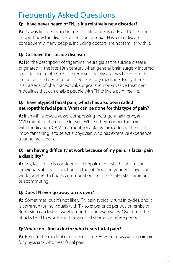# <span id="page-18-0"></span>Frequently Asked Questions

### **Q: I have never heard of TN, is it a relatively new disorder?**

**A:** TN was first described in medical literature as early as 1672. Some people know the disorder as Tic Douloureux. TN is a rare disease, consequently many people, including doctors, are not familiar with it.

### **Q: Do I have the suicide disease?**

A: No, the description of trigeminal neuralgia as the suicide disease originated in the late 19th century when general brain surgery incurred a mortality rate of >90%. The term suicide disease was born from the limitations and desperation of 19th century medicine. Today there is an arsenal of pharmaceutical, surgical and non-invasive treatment modalities that can enable people with TN to live a pain free life.

### **Q: I have atypical facial pain, which has also been called neuropathic facial pain. What can be done for this type of pain?**

**A:** If an MRI shows a vessel compressing the trigeminal nerve, an MVD might be the choice for you. While others control the pain with medication, CAM treatments or ablative procedures. The most important thing is to select a physician who has extensive experience treating facial pain.

### **Q: I am having difficulty at work because of my pain. Is facial pain a disability?**

**A:** Yes, facial pain is considered an impairment, which can limit an individual's ability to function on the job. You and your employer can work together to find accommodations such as a later start time or telecommuting.

### **Q: Does TN ever go away on its own?**

**A:** Sometimes, but it's not likely. TN pain typically runs in cycles, and it is common for individuals with TN to experience periods of remission. Remission can last for weeks, months, and even years. Over time, the attacks tend to worsen with fewer and shorter pain-free periods.

### **Q: Where do I find a doctor who treats facial pain?**

A: Refer to the medical directory on the FPA website www.facepain.org for physicians who treat facial pain.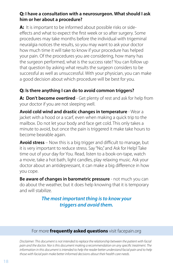### **Q: I have a consultation with a neurosurgeon. What should I ask him or her about a procedure?**

**A:** It is important to be informed about possible risks or sideeffects and what to expect the first week or so after surgery. Some procedures may take months before the individual with trigeminal neuralgia notices the results, so you may want to ask your doctor how much time it will take to know if your procedure has helped your pain. Of the procedures you are considering, how many has the surgeon performed, what is the success rate? You can follow up that question by asking what results the surgeon considers to be successful as well as unsuccessful. With your physician, you can make a good decision about which procedure will be best for you.

### **Q: Is there anything I can do to avoid common triggers?**

**A: Don't become overtired** - Get plenty of rest and ask for help from your doctor if you are not sleeping well.

**Avoid cold wind and drastic changes in temperature** - Wear a jacket with a hood or a scarf, even when making a quick trip to the mailbox. Do not let your body and face get cold. This only takes a minute to avoid, but once the pain is triggered it make take hours to become bearable again.

**Avoid stress** – Now this is a big trigger and difficult to manage, but it is very important to reduce stress. Say "No," and Ask for Help! Take time out of your day for You. Read, listen to a book-on-tape, watch a movie, take a hot bath, light candles, play relaxing music. Ask your doctor about an antidepressant, it can make a big difference in how you cope.

**Be aware of changes in barometric pressure** - not much you can do about the weather, but it does help knowing that it is temporary and will stabilize.

> *The most important thing is to know your triggers and avoid them.*

### For more **frequently asked questions** visit facepain.org

*Disclaimer: This document is not intended to replace the relationship between the patient with facial pain and the doctor. Nor is this document making a recommendation on any specific treatment. The information in this document is intended to help the reader better understand facial pain and to help those with facial pain make better informed decisions about their health care needs.*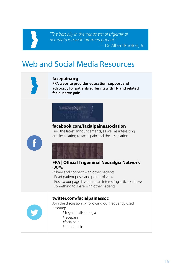#### *"The best ally in the treatment of trigeminal neuralgia is a well-informed patient." —* Dr. Albert Rhoton, Jr.

# Web and Social Media Resources



#### **[facepain.org](http://fpa-support.org)**

**FPA website provides education, support and advocacy for patients suffering with TN and related facial nerve pain.** 



**[facebook.com/facialpainassociation](https://www.facebook.com/facialpainassociation/)** Find the latest announcements, as well as interesting articles relating to facial pain and the association.





#### **[FPA | Official Trigeminal Neuralgia Network](https://www.facebook.com/groups/FPAnetwork/)** • *JOIN!*

- Share and connect with other patients
- Read patient posts and points of view
- Post to our page if you find an interesting article or have something to share with other patients.

#### **[twitter.com/facialpainassoc](https://twitter.com/facialpainassoc)**

Join the discussion by following our frequently used hashtags: #TrigeminalNeuralgia

- #facepain
- #facialpain
- #chronicpain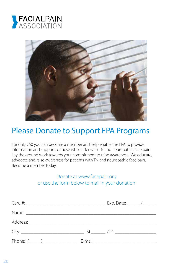



### Please Donate to Support FPA Programs

For only \$50 you can become a member and help enable the FPA to provide information and support to those who suffer with TN and neuropathic face pain. Lay the ground work towards your commitment to raise awareness. We educate, advocate and raise awareness for patients with TN and neuropathic face pain. Become a member today.

### Donate at www.facepain.org or use the form below to mail in your donation

| Phone: $(\_\_)$ |  |
|-----------------|--|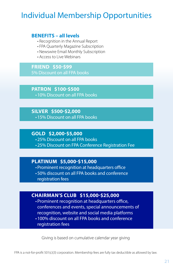# Individual Membership Opportunities

#### **BENEFITS – all levels**

- Recognition in the Annual Report
- FPA Quarterly Magazine Subscription
- Newswire Email Monthly Subscription
- Access to Live Webinars

**FRIEND \$50-\$99** 5% Discount on all FPA books

**PATRON \$100-\$500** •10% Discount on all FPA books

**SILVER \$500-\$2,000** •15% Discount on all FPA books

**GOLD \$2,000-\$5,000** •25% Discount on all FPA books •25% Discount on FPA Conference Registration Fee

### **PLATINUM \$5,000-\$15,000**

•Prominent recognition at headquarters office

•50% discount on all FPA books and conference

registration fees

### **CHAIRMAN'S CLUB \$15,000-\$25,000**

•Prominent recognition at headquarters office, conferences and events, special announcements of recognition, website and social media platforms

•100% discount on all FPA books and conference registration fees

Giving is based on cumulative calendar year giving